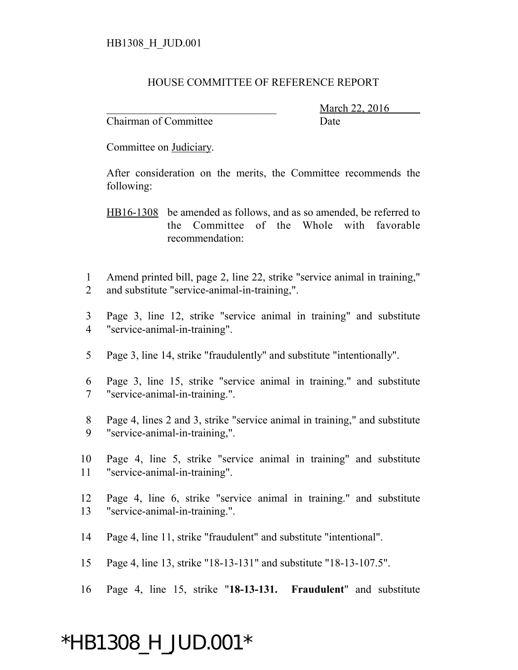## HOUSE COMMITTEE OF REFERENCE REPORT

Chairman of Committee Date

March 22, 2016

Committee on Judiciary.

After consideration on the merits, the Committee recommends the following:

HB16-1308 be amended as follows, and as so amended, be referred to the Committee of the Whole with favorable recommendation:

- 1 Amend printed bill, page 2, line 22, strike "service animal in training," 2 and substitute "service-animal-in-training,".
- 3 Page 3, line 12, strike "service animal in training" and substitute 4 "service-animal-in-training".
- 5 Page 3, line 14, strike "fraudulently" and substitute "intentionally".
- 6 Page 3, line 15, strike "service animal in training." and substitute 7 "service-animal-in-training.".
- 8 Page 4, lines 2 and 3, strike "service animal in training," and substitute 9 "service-animal-in-training,".
- 10 Page 4, line 5, strike "service animal in training" and substitute 11 "service-animal-in-training".
- 12 Page 4, line 6, strike "service animal in training." and substitute 13 "service-animal-in-training.".
- 14 Page 4, line 11, strike "fraudulent" and substitute "intentional".
- 15 Page 4, line 13, strike "18-13-131" and substitute "18-13-107.5".
- 16 Page 4, line 15, strike "**18-13-131. Fraudulent**" and substitute

## \*HB1308\_H\_JUD.001\*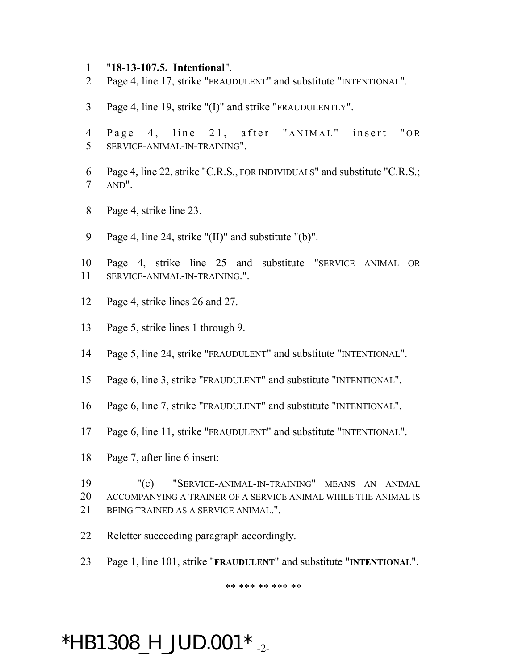- "**18-13-107.5. Intentional**".
- Page 4, line 17, strike "FRAUDULENT" and substitute "INTENTIONAL".
- Page 4, line 19, strike "(I)" and strike "FRAUDULENTLY".
- 4 Page 4, line 21, after "ANIMAL" insert "OR SERVICE-ANIMAL-IN-TRAINING".
- Page 4, line 22, strike "C.R.S., FOR INDIVIDUALS" and substitute "C.R.S.; AND".
- Page 4, strike line 23.
- Page 4, line 24, strike "(II)" and substitute "(b)".
- Page 4, strike line 25 and substitute "SERVICE ANIMAL OR SERVICE-ANIMAL-IN-TRAINING.".
- Page 4, strike lines 26 and 27.
- Page 5, strike lines 1 through 9.
- Page 5, line 24, strike "FRAUDULENT" and substitute "INTENTIONAL".
- Page 6, line 3, strike "FRAUDULENT" and substitute "INTENTIONAL".
- Page 6, line 7, strike "FRAUDULENT" and substitute "INTENTIONAL".
- Page 6, line 11, strike "FRAUDULENT" and substitute "INTENTIONAL".
- Page 7, after line 6 insert:
- "(c) "SERVICE-ANIMAL-IN-TRAINING" MEANS AN ANIMAL ACCOMPANYING A TRAINER OF A SERVICE ANIMAL WHILE THE ANIMAL IS BEING TRAINED AS A SERVICE ANIMAL.".
- Reletter succeeding paragraph accordingly.
- Page 1, line 101, strike "**FRAUDULENT**" and substitute "**INTENTIONAL**".

\*\* \*\*\* \*\* \*\*\* \*\*

## $*$ HB1308\_H\_JUD.001 $*$ <sub>-2-</sub>